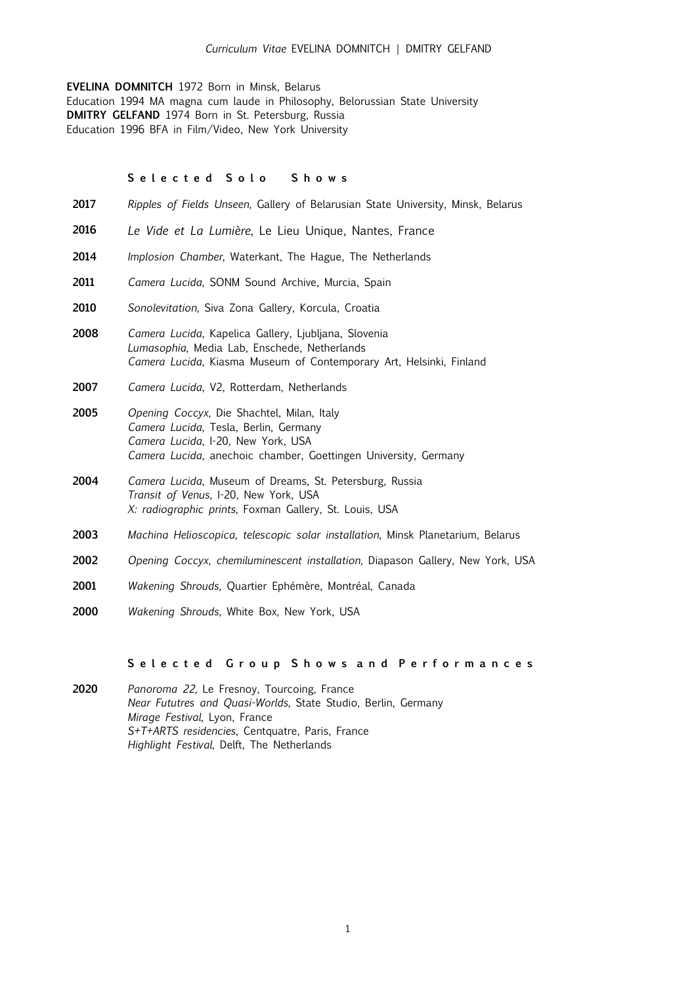### *Curriculum Vitae* EVELINA DOMNITCH | DMITRY GELFAND

**EVELINA DOMNITCH** 1972 Born in Minsk, Belarus Education 1994 MA magna cum laude in Philosophy, Belorussian State University **DMITRY GELFAND** 1974 Born in St. Petersburg, Russia Education 1996 BFA in Film/Video, New York University

# **S e l e c t e d S o l o S h o w s**

- **2017** *Ripples of Fields Unseen,* Gallery of Belarusian State University, Minsk, Belarus
- **2016** *Le Vide et La Lumière*, Le Lieu Unique, Nantes, France
- **2014** *Implosion Chamber,* Waterkant, The Hague, The Netherlands
- **2011** *Camera Lucida*, SONM Sound Archive, Murcia, Spain
- **2010** *Sonolevitation,* Siva Zona Gallery, Korcula, Croatia
- **2008** *Camera Lucida*, Kapelica Gallery, Ljubljana, Slovenia *Lumasophia*, Media Lab, Enschede, Netherlands *Camera Lucida*, Kiasma Museum of Contemporary Art, Helsinki, Finland
- **2007** *Camera Lucida*, V2, Rotterdam, Netherlands
- **2005** *Opening Coccyx*, Die Shachtel, Milan, Italy *Camera Lucida*, Tesla, Berlin, Germany *Camera Lucida*, I-20, New York, USA *Camera Lucida*, anechoic chamber, Goettingen University, Germany
- **2004** *Camera Lucida*, Museum of Dreams, St. Petersburg, Russia *Transit of Venus*, I-20, New York, USA *X: radiographic prints*, Foxman Gallery, St. Louis, USA
- **2003** *Machina Helioscopica, telescopic solar installation,* Minsk Planetarium, Belarus
- **2002** *Opening Coccyx, chemiluminescent installation,* Diapason Gallery, New York, USA
- **2001** *Wakening Shrouds,* Quartier Ephémère, Montréal, Canada
- **2000** *Wakening Shrouds,* White Box, New York, USA

## **S e l e c t e d G r o u p S h o w s a n d P e r f o r m a n c e s**

**2020** *Panoroma 22,* Le Fresnoy, Tourcoing, France *Near Fututres and Quasi-Worlds,* State Studio, Berlin, Germany *Mirage Festival,* Lyon, France *S+T+ARTS residencies*, Centquatre, Paris, France *Highlight Festival,* Delft, The Netherlands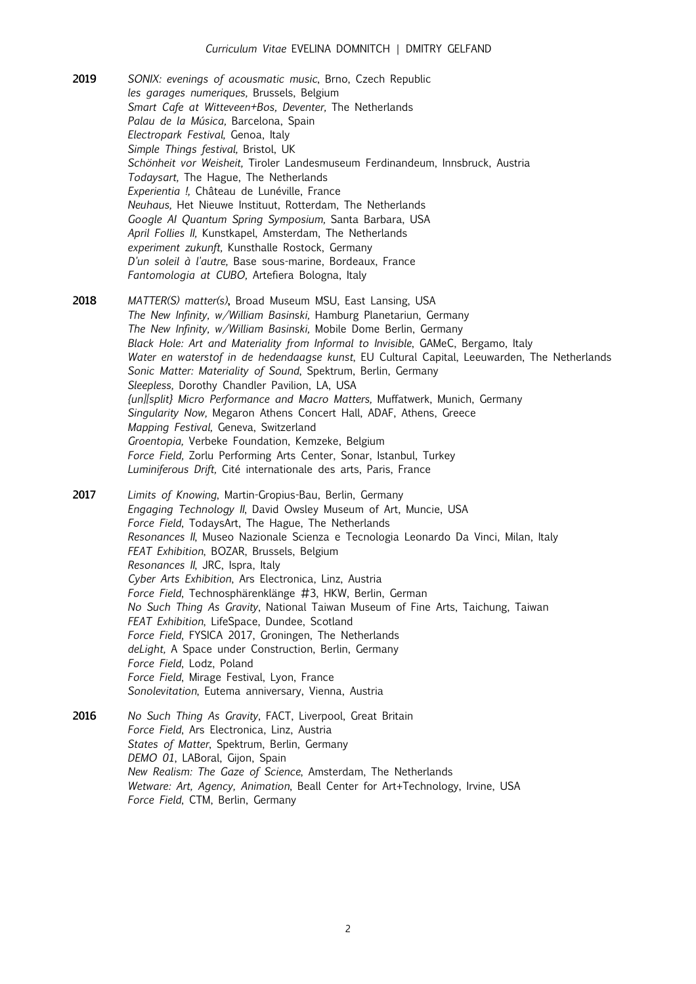- **2019** *SONIX: evenings of acousmatic music*, Brno, Czech Republic *les garages numeriques,* Brussels, Belgium *Smart Cafe at Witteveen+Bos, Deventer,* The Netherlands *Palau de la Música,* Barcelona, Spain *Electropark Festival,* Genoa, Italy *Simple Things festival,* Bristol, UK *Schönheit vor Weisheit,* Tiroler Landesmuseum Ferdinandeum, Innsbruck, Austria *Todaysart,* The Hague, The Netherlands *Experientia !,* Château de Lunéville, France *Neuhaus,* Het Nieuwe Instituut, Rotterdam, The Netherlands *Google AI Quantum Spring Symposium,* Santa Barbara, USA *April Follies II,* Kunstkapel, Amsterdam, The Netherlands *experiment zukunft,* Kunsthalle Rostock, Germany *D'un soleil à l'autre,* Base sous-marine, Bordeaux, France *Fantomologia at CUBO,* Artefiera Bologna, Italy
- **2018** *MATTER(S) matter(s)***,** Broad Museum MSU, East Lansing, USA *The New Infinity, w/William Basinski,* Hamburg Planetariun, Germany *The New Infinity, w/William Basinski,* Mobile Dome Berlin, Germany *Black Hole: Art and Materiality from Informal to Invisible*, GAMeC, Bergamo, Italy *Water en waterstof in de hedendaagse kunst*, EU Cultural Capital, Leeuwarden, The Netherlands *Sonic Matter: Materiality of Sound*, Spektrum, Berlin, Germany *Sleepless,* Dorothy Chandler Pavilion, LA, USA *{un][split} Micro Performance and Macro Matters,* Muffatwerk, Munich, Germany *Singularity Now,* Megaron Athens Concert Hall, ADAF, Athens, Greece *Mapping Festival,* Geneva, Switzerland *Groentopia,* Verbeke Foundation, Kemzeke, Belgium *Force Field,* Zorlu Performing Arts Center, Sonar, Istanbul, Turkey *Luminiferous Drift,* Cité internationale des arts, Paris, France
- **2017** *Limits of Knowing*, Martin-Gropius-Bau, Berlin, Germany *Engaging Technology II*, David Owsley Museum of Art, Muncie, USA *Force Field*, TodaysArt, The Hague, The Netherlands *Resonances II*, Museo Nazionale Scienza e Tecnologia Leonardo Da Vinci, Milan, Italy *FEAT Exhibition*, BOZAR, Brussels, Belgium *Resonances II*, JRC, Ispra, Italy *Cyber Arts Exhibition*, Ars Electronica, Linz, Austria *Force Field*, Technosphärenklänge #3, HKW, Berlin, German *No Such Thing As Gravity*, National Taiwan Museum of Fine Arts, Taichung, Taiwan *FEAT Exhibition*, LifeSpace, Dundee, Scotland *Force Field*, FYSICA 2017, Groningen, The Netherlands *deLight,* A Space under Construction, Berlin, Germany *Force Field*, Lodz, Poland *Force Field*, Mirage Festival, Lyon, France *Sonolevitation*, Eutema anniversary, Vienna, Austria
- **2016** *No Such Thing As Gravity*, FACT, Liverpool, Great Britain *Force Field*, Ars Electronica, Linz, Austria *States of Matter*, Spektrum, Berlin, Germany *[DEMO 01](http://www.laboralcentrodearte.org/en/exposiciones/demo)*, LABoral, Gijon, Spain *New Realism: The Gaze of Science*, Amsterdam, The Netherlands *Wetware: Art, Agency, Animation*, Beall Center for Art+Technology, Irvine, USA *Force Field*, CTM, Berlin, Germany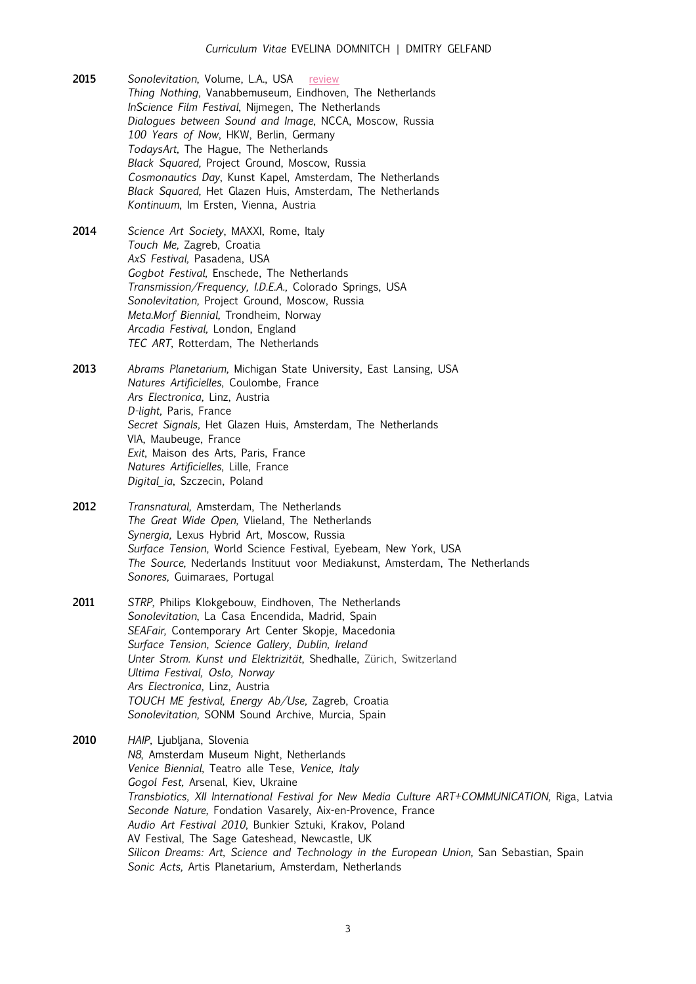- **2015** *Sonolevitation*, Volume, L.A., USA [review](http://www.latimes.com/entertainment/music/la-et-ms-three-nights-review-20151214-story.html) *Thing Nothing*, Vanabbemuseum, Eindhoven, The Netherlands *InScience Film Festival*, Nijmegen, The Netherlands *Dialogues between Sound and Image*, NCCA, Moscow, Russia *100 Years of Now*, HKW, Berlin, Germany *TodaysArt,* The Hague, The Netherlands *Black Squared,* Project Ground, Moscow, Russia *Cosmonautics Day*, Kunst Kapel, Amsterdam, The Netherlands *Black Squared,* Het Glazen Huis, Amsterdam, The Netherlands *Kontinuum*, Im Ersten, Vienna, Austria
- **2014** *Science Art Society*, MAXXI, Rome, Italy *Touch Me,* Zagreb, Croatia *AxS Festival,* Pasadena, USA *Gogbot Festival,* Enschede, The Netherlands *Transmission/Frequency, I.D.E.A.,* Colorado Springs, USA *Sonolevitation,* Project Ground, Moscow, Russia *Meta.Morf Biennial,* Trondheim, Norway *Arcadia Festival,* London, England *TEC ART,* Rotterdam, The Netherlands
- **2013** *Abrams Planetarium,* Michigan State University, East Lansing, USA *Natures Artificielles*, Coulombe, France *Ars Electronica,* Linz, Austria *D-light,* Paris, France *Secret Signals,* Het Glazen Huis, Amsterdam, The Netherlands VIA, Maubeuge, France *Exit*, Maison des Arts, Paris, France *Natures Artificielles*, Lille, France *Digital\_ia*, Szczecin, Poland
- **2012** *Transnatural,* Amsterdam, The Netherlands *The Great Wide Open,* Vlieland, The Netherlands *Synergia,* Lexus Hybrid Art, Moscow, Russia *Surface Tension,* World Science Festival, Eyebeam, New York, USA *The Source,* Nederlands Instituut voor Mediakunst, Amsterdam, The Netherlands *Sonores,* Guimaraes, Portugal
- **2011** *STRP,* Philips Klokgebouw, Eindhoven, The Netherlands *Sonolevitation*, La Casa Encendida, Madrid, Spain *SEAFair,* Contemporary Art Center Skopje, Macedonia *Surface Tension, Science Gallery, Dublin, Ireland Unter Strom. Kunst und Elektrizität*, Shedhalle, Zürich, Switzerland *Ultima Festival, Oslo, Norway Ars Electronica,* Linz, Austria *TOUCH ME festival, Energy Ab/Use,* Zagreb, Croatia *Sonolevitation,* SONM Sound Archive, Murcia, Spain
- **2010** *HAIP,* Ljubljana, Slovenia *N8*, Amsterdam Museum Night, Netherlands *Venice Biennial,* Teatro alle Tese, *Venice, Italy Gogol Fest,* Arsenal, Kiev, Ukraine *Transbiotics, XII International Festival for New Media Culture ART+COMMUNICATION,* Riga, Latvia *Seconde Nature,* Fondation Vasarely, Aix-en-Provence, France *Audio Art Festival 2010*, Bunkier Sztuki, Krakov, Poland AV Festival, The Sage Gateshead, Newcastle, UK Silicon Dreams: Art, Science and Technology in the European Union, San Sebastian, Spain *Sonic Acts,* Artis Planetarium, Amsterdam, Netherlands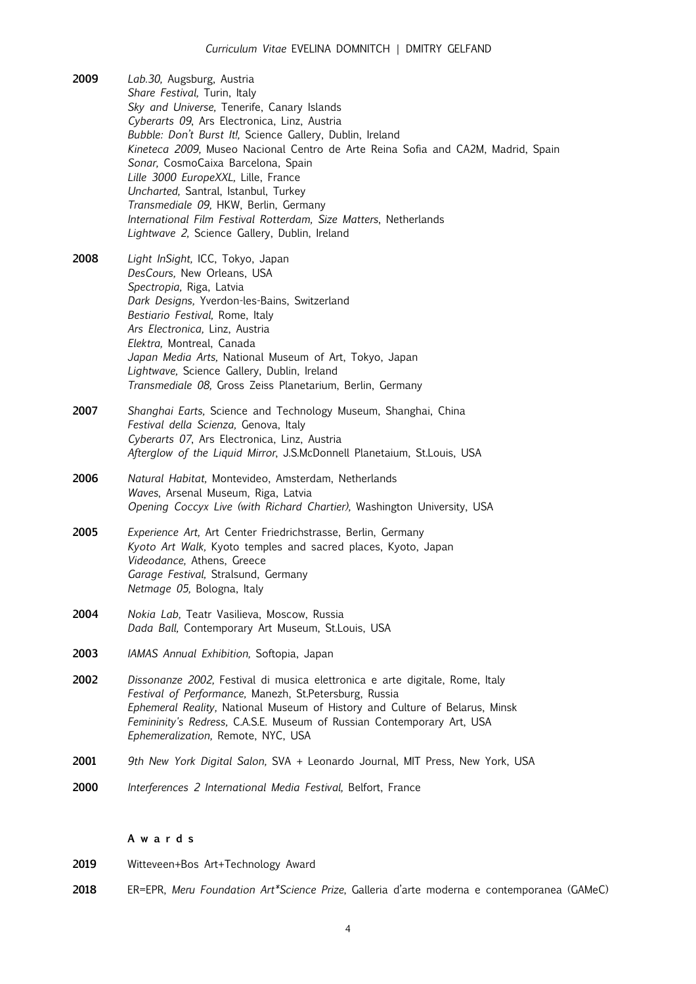- **2009** *Lab.30,* Augsburg, Austria *Share Festival,* Turin, Italy *Sky and Universe,* Tenerife, Canary Islands *Cyberarts 09*, Ars Electronica, Linz, Austria *Bubble: Don't Burst It!,* Science Gallery, Dublin, Ireland *Kineteca 2009,* Museo Nacional Centro de Arte Reina Sofia and CA2M, Madrid, Spain *Sonar,* CosmoCaixa Barcelona, Spain *Lille 3000 EuropeXXL,* Lille, France *Uncharted,* Santral, Istanbul, Turkey *Transmediale 09,* HKW, Berlin, Germany *International Film Festival Rotterdam, Size Matters*, Netherlands *Lightwave 2,* Science Gallery, Dublin, Ireland
- **2008** *Light InSight,* ICC, Tokyo, Japan *DesCours,* New Orleans, USA *Spectropia,* Riga, Latvia *Dark Designs,* Yverdon-les-Bains, Switzerland *Bestiario Festival,* Rome, Italy *Ars Electronica,* Linz, Austria *Elektra,* Montreal, Canada *Japan Media Arts,* National Museum of Art, Tokyo, Japan *Lightwave,* Science Gallery, Dublin, Ireland *Transmediale 08,* Gross Zeiss Planetarium, Berlin, Germany
- **2007** *Shanghai Earts,* Science and Technology Museum, Shanghai, China *Festival della Scienza,* Genova, Italy *Cyberarts 07*, Ars Electronica, Linz, Austria *Afterglow of the Liquid Mirror*, J.S.McDonnell Planetaium, St.Louis, USA
- **2006** *Natural Habitat,* Montevideo, Amsterdam, Netherlands *Waves*, Arsenal Museum, Riga, Latvia *Opening Coccyx Live (with Richard Chartier),* Washington University, USA
- **2005** *Experience Art,* Art Center Friedrichstrasse, Berlin, Germany *Kyoto Art Walk,* Kyoto temples and sacred places, Kyoto, Japan *Videodance,* Athens, Greece *Garage Festival,* Stralsund, Germany *Netmage 05,* Bologna, Italy
- **2004** *Nokia Lab,* Teatr Vasilieva, Moscow, Russia *Dada Ball,* Contemporary Art Museum, St.Louis, USA
- **2003** *IAMAS Annual Exhibition,* Softopia, Japan
- **2002** *Dissonanze 2002,* Festival di musica elettronica e arte digitale, Rome, Italy *Festival of Performance,* Manezh, St.Petersburg, Russia *Ephemeral Reality,* National Museum of History and Culture of Belarus, Minsk *Femininity's Redress,* C.A.S.E. Museum of Russian Contemporary Art, USA *Ephemeralization,* Remote, NYC, USA
- **2001** *9th New York Digital Salon,* SVA + Leonardo Journal, MIT Press, New York, USA
- **2000** *Interferences 2 International Media Festival,* Belfort, France

# **A w a r d s**

- **2019** Witteveen+Bos Art+Technology Award
- **2018** ER=EPR, *Meru Foundation Art\*Science Prize*, Galleria d'arte moderna e contemporanea (GAMeC)